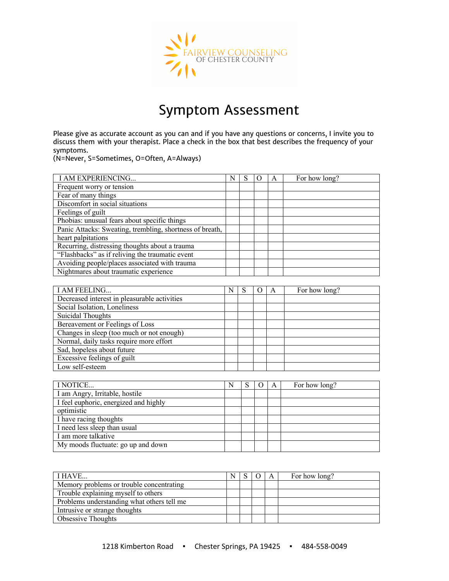

## Symptom Assessment

Please give as accurate account as you can and if you have any questions or concerns, I invite you to discuss them with your therapist. Place a check in the box that best describes the frequency of your symptoms.

(N=Never, S=Sometimes, O=Often, A=Always)

| I AM EXPERIENCING                                                                                      | N | S                     | А             | For how long?                                                                 |
|--------------------------------------------------------------------------------------------------------|---|-----------------------|---------------|-------------------------------------------------------------------------------|
| Frequent worry or tension                                                                              |   |                       |               |                                                                               |
| Fear of many things                                                                                    |   |                       |               |                                                                               |
| Discomfort in social situations                                                                        |   |                       |               |                                                                               |
| Feelings of guilt                                                                                      |   |                       |               |                                                                               |
| Phobias: unusual fears about specific things                                                           |   |                       |               |                                                                               |
| Panic Attacks: Sweating, trembling, shortness of breath,                                               |   |                       |               |                                                                               |
| heart palpitations                                                                                     |   |                       |               |                                                                               |
| Recurring, distressing thoughts about a trauma                                                         |   |                       |               |                                                                               |
| "Flashbacks" as if reliving the traumatic event                                                        |   |                       |               |                                                                               |
| Avoiding people/places associated with trauma                                                          |   |                       |               |                                                                               |
| Nightmares about traumatic experience                                                                  |   |                       |               |                                                                               |
|                                                                                                        |   |                       |               |                                                                               |
| $\mathbf{r}$ , $\mathbf{r}$ , $\mathbf{r}$ , $\mathbf{r}$ , $\mathbf{r}$ , $\mathbf{r}$ , $\mathbf{r}$ |   | $\mathbf{r}$ $\alpha$ | $\sim$ $\sim$ | $\mathbf{r}$ $\mathbf{r}$ $\mathbf{r}$ $\mathbf{r}$ $\mathbf{r}$ $\mathbf{r}$ |

| I AM FEELING                                 | N |  | For how long? |
|----------------------------------------------|---|--|---------------|
| Decreased interest in pleasurable activities |   |  |               |
| Social Isolation, Loneliness                 |   |  |               |
| Suicidal Thoughts                            |   |  |               |
| Bereavement or Feelings of Loss              |   |  |               |
| Changes in sleep (too much or not enough)    |   |  |               |
| Normal, daily tasks require more effort      |   |  |               |
| Sad, hopeless about future                   |   |  |               |
| Excessive feelings of guilt                  |   |  |               |
| Low self-esteem                              |   |  |               |

| I NOTICE                              | N | O | A | For how long? |
|---------------------------------------|---|---|---|---------------|
| I am Angry, Irritable, hostile        |   |   |   |               |
| I feel euphoric, energized and highly |   |   |   |               |
| optimistic                            |   |   |   |               |
| I have racing thoughts                |   |   |   |               |
| I need less sleep than usual          |   |   |   |               |
| I am more talkative                   |   |   |   |               |
| My moods fluctuate: go up and down    |   |   |   |               |

| I HAVE                                     |  | A | For how long? |
|--------------------------------------------|--|---|---------------|
| Memory problems or trouble concentrating   |  |   |               |
| Trouble explaining myself to others        |  |   |               |
| Problems understanding what others tell me |  |   |               |
| Intrusive or strange thoughts              |  |   |               |
| <b>Obsessive Thoughts</b>                  |  |   |               |